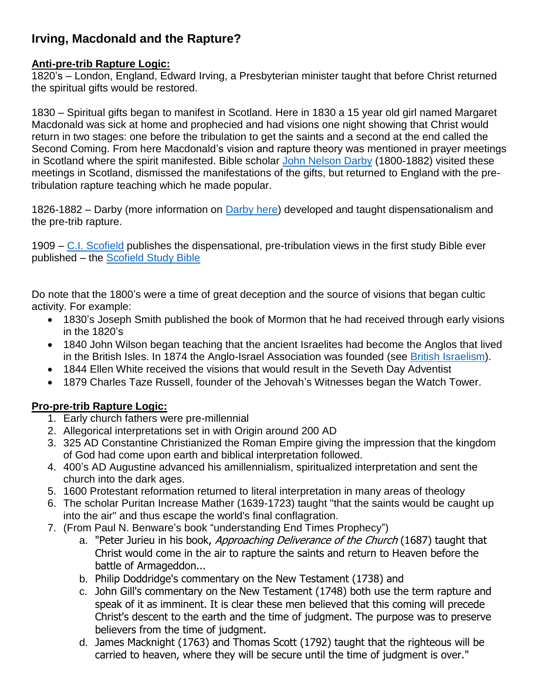## **Irving, Macdonald and the Rapture?**

## **Anti-pre-trib Rapture Logic:**

1820's – London, England, Edward Irving, a Presbyterian minister taught that before Christ returned the spiritual gifts would be restored.

1830 – Spiritual gifts began to manifest in Scotland. Here in 1830 a 15 year old girl named Margaret Macdonald was sick at home and prophecied and had visions one night showing that Christ would return in two stages: one before the tribulation to get the saints and a second at the end called the Second Coming. From here Macdonald's vision and rapture theory was mentioned in prayer meetings in Scotland where the spirit manifested. Bible scholar [John Nelson Darby](http://www.christianitytoday.com/ch/131christians/pastorsandpreachers/darby.html) (1800-1882) visited these meetings in Scotland, dismissed the manifestations of the gifts, but returned to England with the pretribulation rapture teaching which he made popular.

1826-1882 – Darby (more information on [Darby here\)](http://www.according2prophecy.org/darby.html) developed and taught dispensationalism and the pre-trib rapture.

1909 – [C.I. Scofield](http://biblesanity.org/scofield.htm) publishes the dispensational, pre-tribulation views in the first study Bible ever published – the [Scofield Study Bible](http://en.wikipedia.org/wiki/Scofield_Reference_Bible)

Do note that the 1800's were a time of great deception and the source of visions that began cultic activity. For example:

- 1830's Joseph Smith published the book of Mormon that he had received through early visions in the 1820's
- 1840 John Wilson began teaching that the ancient Israelites had become the Anglos that lived in the British Isles. In 1874 the Anglo-Israel Association was founded (see [British Israelism\)](http://en.wikipedia.org/wiki/British_Israelism).
- 1844 Ellen White received the visions that would result in the Seveth Day Adventist
- 1879 Charles Taze Russell, founder of the Jehovah's Witnesses began the Watch Tower.

## **Pro-pre-trib Rapture Logic:**

- 1. Early church fathers were pre-millennial
- 2. Allegorical interpretations set in with Origin around 200 AD
- 3. 325 AD Constantine Christianized the Roman Empire giving the impression that the kingdom of God had come upon earth and biblical interpretation followed.
- 4. 400's AD Augustine advanced his amillennialism, spiritualized interpretation and sent the church into the dark ages.
- 5. 1600 Protestant reformation returned to literal interpretation in many areas of theology
- 6. The scholar Puritan Increase Mather (1639-1723) taught "that the saints would be caught up into the air" and thus escape the world's final conflagration.
- 7. (From Paul N. Benware's book "understanding End Times Prophecy")
	- a. "Peter Jurieu in his book, Approaching Deliverance of the Church (1687) taught that Christ would come in the air to rapture the saints and return to Heaven before the battle of Armageddon...
	- b. Philip Doddridge's commentary on the New Testament (1738) and
	- c. John Gill's commentary on the New Testament (1748) both use the term rapture and speak of it as imminent. It is clear these men believed that this coming will precede Christ's descent to the earth and the time of judgment. The purpose was to preserve believers from the time of judgment.
	- d. James Macknight (1763) and Thomas Scott (1792) taught that the righteous will be carried to heaven, where they will be secure until the time of judgment is over."